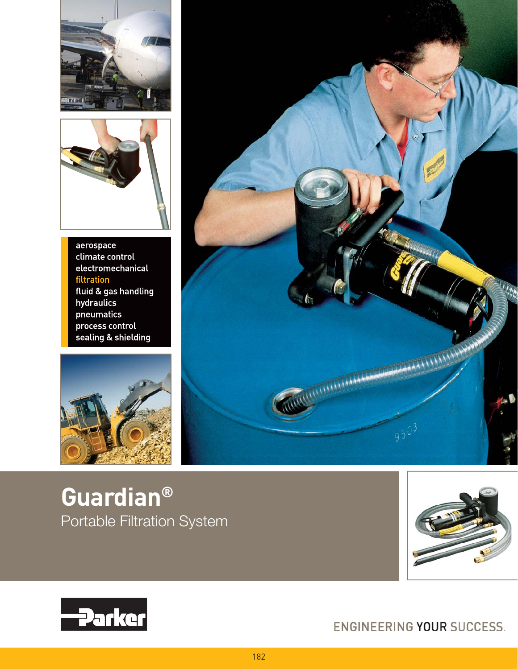



aerospace climate control electromechanical filtration fluid & gas handling hydraulics pneumatics process control sealing & shielding





**Guardian®** Portable Filtration System





ENGINEERING YOUR SUCCESS.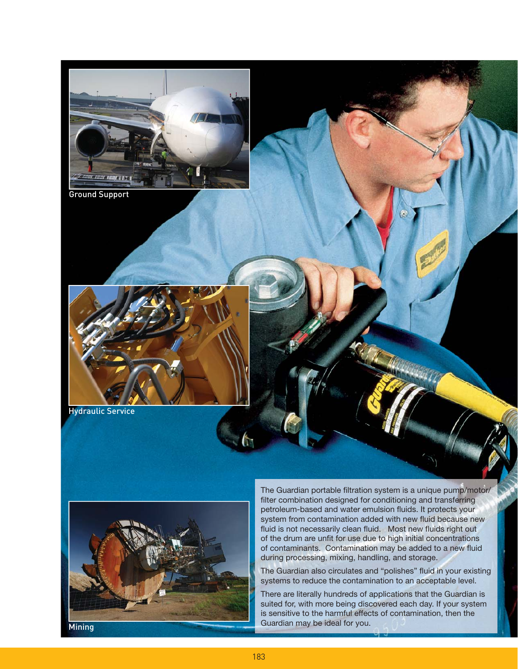

Ground Support





The Guardian portable filtration system is a unique pump/motor/ filter combination designed for conditioning and transferring petroleum-based and water emulsion fluids. It protects your system from contamination added with new fluid because new fluid is not necessarily clean fluid. Most new fluids right out of the drum are unfit for use due to high initial concentrations of contaminants. Contamination may be added to a new fluid during processing, mixing, handling, and storage.

The Guardian also circulates and "polishes" fluid in your existing systems to reduce the contamination to an acceptable level.

There are literally hundreds of applications that the Guardian is suited for, with more being discovered each day. If your system is sensitive to the harmful effects of contamination, then the Guardian may be ideal for you.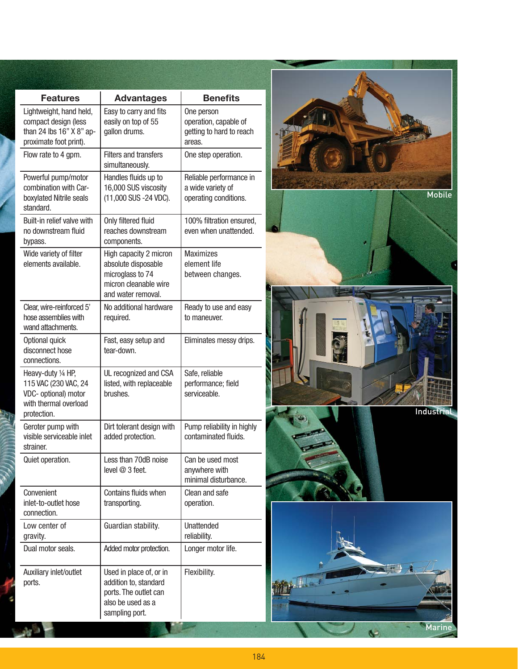| <b>Features</b>                                                                                            | <b>Advantages</b>                                                                                                | <b>Benefits</b>                                                           |
|------------------------------------------------------------------------------------------------------------|------------------------------------------------------------------------------------------------------------------|---------------------------------------------------------------------------|
| Lightweight, hand held,<br>compact design (less<br>than 24 lbs 16" X 8" ap-<br>proximate foot print).      | Easy to carry and fits<br>easily on top of 55<br>gallon drums.                                                   | One person<br>operation, capable of<br>getting to hard to reach<br>areas. |
| Flow rate to 4 gpm.                                                                                        | <b>Filters and transfers</b><br>simultaneously.                                                                  | One step operation.                                                       |
| Powerful pump/motor<br>combination with Car-<br>boxylated Nitrile seals<br>standard.                       | Handles fluids up to<br>16,000 SUS viscosity<br>(11,000 SUS -24 VDC).                                            | Reliable performance in<br>a wide variety of<br>operating conditions.     |
| Built-in relief valve with<br>no downstream fluid<br>bypass.                                               | Only filtered fluid<br>reaches downstream<br>components.                                                         | 100% filtration ensured,<br>even when unattended.                         |
| Wide variety of filter<br>elements available.                                                              | High capacity 2 micron<br>absolute disposable<br>microglass to 74<br>micron cleanable wire<br>and water removal. | <b>Maximizes</b><br>element life<br>between changes.                      |
| Clear, wire-reinforced 5'<br>hose assemblies with<br>wand attachments.                                     | No additional hardware<br>required.                                                                              | Ready to use and easy<br>to maneuver.                                     |
| Optional quick<br>disconnect hose<br>connections.                                                          | Fast, easy setup and<br>tear-down.                                                                               | Eliminates messy drips.                                                   |
| Heavy-duty 1/4 HP,<br>115 VAC (230 VAC, 24<br>VDC- optional) motor<br>with thermal overload<br>protection. | UL recognized and CSA<br>listed, with replaceable<br>brushes.                                                    | Safe, reliable<br>performance; field<br>serviceable.                      |
| Geroter pump with<br>visible serviceable inlet<br>strainer.                                                | Dirt tolerant design with<br>added protection.                                                                   | Pump reliability in highly<br>contaminated fluids.                        |
| Quiet operation.                                                                                           | Less than 70dB noise<br>level @ 3 feet.                                                                          | Can be used most<br>anywhere with<br>minimal disturbance.                 |
| Convenient<br>inlet-to-outlet hose<br>connection.                                                          | Contains fluids when<br>transporting.                                                                            | Clean and safe<br>operation.                                              |
| Low center of<br>gravity.                                                                                  | Guardian stability.                                                                                              | Unattended<br>reliability.                                                |
| Dual motor seals.                                                                                          | Added motor protection.                                                                                          | Longer motor life.                                                        |
| Auxiliary inlet/outlet<br>ports.                                                                           | Used in place of, or in<br>addition to, standard<br>ports. The outlet can<br>also be used as a<br>sampling port. | Flexibility.                                                              |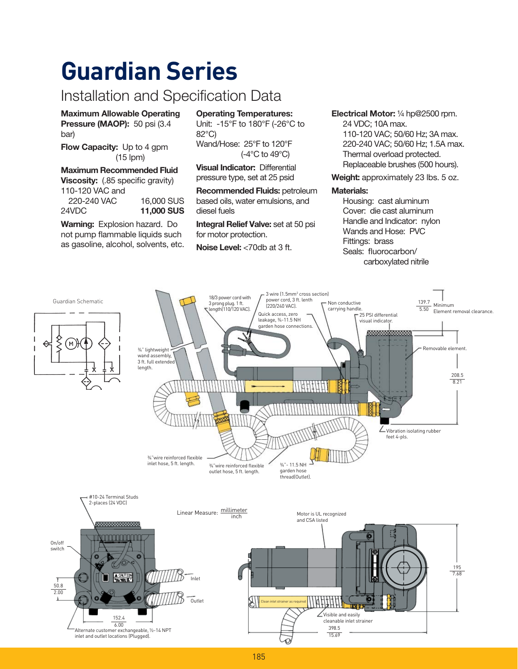## **Guardian Series**

### Installation and Specification Data

**Maximum Allowable Operating Pressure (MAOP):** 50 psi (3.4) bar)

**Flow Capacity:** Up to 4 gpm (15 lpm)

#### **Maximum Recommended Fluid**

**Viscosity:** (.85 specific gravity) 110-120 VAC and<br>220-240 VAC 16,000 SUS

| ZZU-Z4U VAU | טטט טטט,טו        |
|-------------|-------------------|
| 24VDC       | <b>11,000 SUS</b> |
|             |                   |

**Warning:** Explosion hazard. Do not pump flammable liquids such as gasoline, alcohol, solvents, etc.

#### **Operating Temperatures:**

Unit: -15°F to 180°F (-26°C to 82°C) Wand/Hose: 25°F to 120°F (-4°C to 49°C)

**Visual Indicator:** Differential pressure type, set at 25 psid

**Recommended Fluids:** petroleum based oils, water emulsions, and diesel fuels

**Integral Relief Valve:** set at 50 psi for motor protection.

**Noise Level:** <70db at 3 ft.

#### **Electrical Motor:** 1/4 hp@2500 rpm. 24 VDC; 10A max. 110-120 VAC; 50/60 Hz; 3A max. 220-240 VAC; 50/60 Hz; 1.5A max. Thermal overload protected. Replaceable brushes (500 hours).

**Weight:** approximately 23 lbs. 5 oz.

#### **Materials:**

Housing: cast aluminum Cover: die cast aluminum Handle and Indicator: nylon Wands and Hose: PVC Fittings: brass Seals: fluorocarbon/ carboxylated nitrile

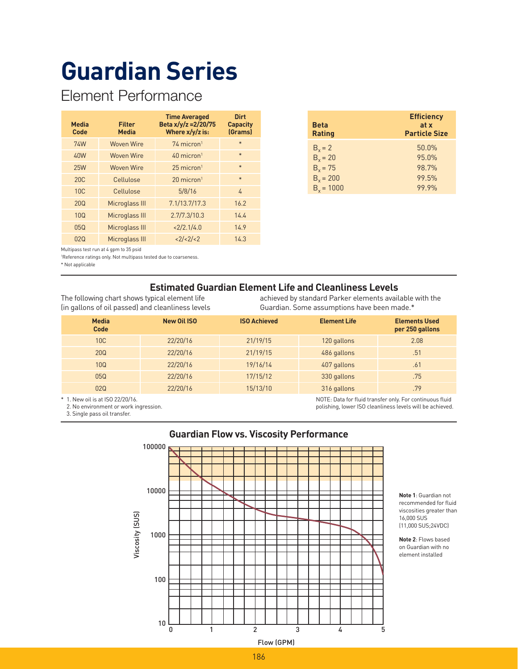## **Guardian Series**

Element Performance

| <b>Media</b><br>Code | <b>Filter</b><br><b>Media</b> | <b>Time Averaged</b><br>Beta x/y/z = 2/20/75<br>Where $x/y/z$ is: | <b>Dirt</b><br><b>Capacity</b><br>(Grams) |
|----------------------|-------------------------------|-------------------------------------------------------------------|-------------------------------------------|
| 74W                  | <b>Woven Wire</b>             | $74$ micron <sup>1</sup>                                          | $\ast$                                    |
| 40W                  | <b>Woven Wire</b>             | $40$ micron <sup>1</sup>                                          | $\ast$                                    |
| <b>25W</b>           | <b>Woven Wire</b>             | $25$ micron <sup>1</sup>                                          | $\ast$                                    |
| 20 <sub>C</sub>      | Cellulose                     | $20$ micron <sup>1</sup>                                          | $\ast$                                    |
| 10 <sub>C</sub>      | Cellulose                     | 5/8/16                                                            | 4                                         |
| <b>20Q</b>           | Microglass III                | 7.1/13.7/17.3                                                     | 16.2                                      |
| 10Q                  | Microglass III                | 2.7/7.3/10.3                                                      | 14.4                                      |
| 050                  | Microglass III                | <2/2.1/4.0                                                        | 14.9                                      |
| 02Q                  | Microglass III                | <2/2/2                                                            | 14.3                                      |

| <b>Beta</b><br><b>Rating</b> | <b>Efficiency</b><br>at x<br><b>Particle Size</b> |
|------------------------------|---------------------------------------------------|
| $B_{r} = 2$                  | 50.0%                                             |
| $B_x = 20$                   | 95.0%                                             |
| $B_x = 75$                   | 98.7%                                             |
| $B_x = 200$                  | 99.5%                                             |
| $B_{x} = 1000$               | 99.9%                                             |

Multipass test run at 4 gpm to 35 psid

1 Reference ratings only. Not multipass tested due to coarseness.

\* Not applicable

#### **Estimated Guardian Element Life and Cleanliness Levels**

The following chart shows typical element life (in gallons of oil passed) and cleanliness levels achieved by standard Parker elements available with the Guardian. Some assumptions have been made.\*

| <b>Media</b><br>Code | New Oil ISO | <b>ISO Achieved</b> | <b>Element Life</b> | <b>Elements Used</b><br>per 250 gallons |
|----------------------|-------------|---------------------|---------------------|-----------------------------------------|
| 10 <sub>C</sub>      | 22/20/16    | 21/19/15            | 120 gallons         | 2.08                                    |
| 20Q                  | 22/20/16    | 21/19/15            | 486 gallons         | .51                                     |
| 10Q                  | 22/20/16    | 19/16/14            | 407 gallons         | .61                                     |
| 05Q                  | 22/20/16    | 17/15/12            | 330 gallons         | .75                                     |
| 02Q                  | 22/20/16    | 15/13/10            | 316 gallons         | .79                                     |

\* 1. New oil is at ISO 22/20/16.

2. No environment or work ingression.

3. Single pass oil transfer.

NOTE: Data for fluid transfer only. For continuous fluid polishing, lower ISO cleanliness levels will be achieved.



**Guardian Flow vs. Viscosity Performance**

**Note 1**: Guardian not recommended for fluid viscosities greater than 16,000 SUS (11,000 SUS;24VDC)

**Note 2**: Flows based on Guardian with no element installed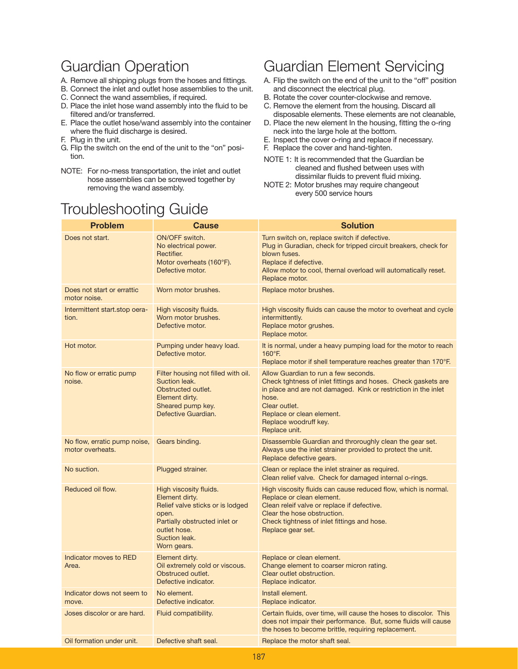### Guardian Operation

- A. Remove all shipping plugs from the hoses and fittings.
- B. Connect the inlet and outlet hose assemblies to the unit.
- C. Connect the wand assemblies, if required.
- D. Place the inlet hose wand assembly into the fluid to be filtered and/or transferred.
- E. Place the outlet hose/wand assembly into the container where the fluid discharge is desired.
- F. Plug in the unit.
- G. Flip the switch on the end of the unit to the "on" position.
- NOTE: For no-mess transportation, the inlet and outlet hose assemblies can be screwed together by removing the wand assembly.

## Guardian Element Servicing

- A. Flip the switch on the end of the unit to the "off" position and disconnect the electrical plug.
- B. Rotate the cover counter-clockwise and remove.
- C. Remove the element from the housing. Discard all
- disposable elements. These elements are not cleanable, D. Place the new element In the housing, fitting the o-ring neck into the large hole at the bottom.
- E. Inspect the cover o-ring and replace if necessary.
- F. Replace the cover and hand-tighten.
- NOTE 1: It is recommended that the Guardian be cleaned and flushed between uses with dissimilar fluids to prevent fluid mixing.
- NOTE 2: Motor brushes may require changeout every 500 service hours

## Troubleshooting Guide

| <b>Problem</b>                                   | <b>Cause</b>                                                                                                                                                           | <b>Solution</b>                                                                                                                                                                                                                                                          |
|--------------------------------------------------|------------------------------------------------------------------------------------------------------------------------------------------------------------------------|--------------------------------------------------------------------------------------------------------------------------------------------------------------------------------------------------------------------------------------------------------------------------|
| Does not start.                                  | ON/OFF switch.<br>No electrical power.<br>Rectifier.<br>Motor overheats (160°F).<br>Defective motor.                                                                   | Turn switch on, replace switch if defective.<br>Plug in Guradian, check for tripped circuit breakers, check for<br>blown fuses.<br>Replace if defective.<br>Allow motor to cool, thernal overload will automatically reset.<br>Replace motor.                            |
| Does not start or errattic<br>motor noise.       | Worn motor brushes.                                                                                                                                                    | Replace motor brushes.                                                                                                                                                                                                                                                   |
| Intermittent start.stop oera-<br>tion.           | High viscosity fluids.<br>Worn motor brushes.<br>Defective motor.                                                                                                      | High viscosity fluids can cause the motor to overheat and cycle<br>intermittently.<br>Replace motor grushes.<br>Replace motor.                                                                                                                                           |
| Hot motor.                                       | Pumping under heavy load.<br>Defective motor.                                                                                                                          | It is normal, under a heavy pumping load for the motor to reach<br>$160^\circ$ F.<br>Replace motor if shell temperature reaches greater than 170°F.                                                                                                                      |
| No flow or erratic pump<br>noise.                | Filter housing not filled with oil.<br>Suction leak.<br>Obstructed outlet.<br>Element dirty.<br>Sheared pump key.<br>Defective Guardian.                               | Allow Guardian to run a few seconds.<br>Check tghtness of inlet fittings and hoses. Check gaskets are<br>in place and are not damaged. Kink or restriction in the inlet<br>hose.<br>Clear outlet.<br>Replace or clean element.<br>Replace woodruff key.<br>Replace unit. |
| No flow, erratic pump noise,<br>motor overheats. | Gears binding.                                                                                                                                                         | Disassemble Guardian and throroughly clean the gear set.<br>Always use the inlet strainer provided to protect the unit.<br>Replace defective gears.                                                                                                                      |
| No suction.                                      | Plugged strainer.                                                                                                                                                      | Clean or replace the inlet strainer as required.<br>Clean relief valve. Check for damaged internal o-rings.                                                                                                                                                              |
| Reduced oil flow.                                | High viscosity fluids.<br>Element dirty.<br>Relief valve sticks or is lodged<br>open.<br>Partially obstructed inlet or<br>outlet hose.<br>Suction leak.<br>Worn gears. | High viscosity fluids can cause reduced flow, which is normal.<br>Replace or clean element.<br>Clean releif valve or replace if defective.<br>Clear the hose obstruction.<br>Check tightness of inlet fittings and hose.<br>Replace gear set.                            |
| Indicator moves to RED<br>Area.                  | Element dirty.<br>Oil extremely cold or viscous.<br>Obstruced outlet.<br>Defective indicator.                                                                          | Replace or clean element.<br>Change element to coarser micron rating.<br>Clear outlet obstruction.<br>Replace indicator.                                                                                                                                                 |
| Indicator dows not seem to<br>move.              | No element.<br>Defective indicator.                                                                                                                                    | Install element.<br>Replace indicator.                                                                                                                                                                                                                                   |
| Joses discolor or are hard.                      | Fluid compatibility.                                                                                                                                                   | Certain fluids, over time, will cause the hoses to discolor. This<br>does not impair their performance. But, some fluids will cause<br>the hoses to become brittle, requiring replacement.                                                                               |
| Oil formation under unit.                        | Defective shaft seal.                                                                                                                                                  | Replace the motor shaft seal.                                                                                                                                                                                                                                            |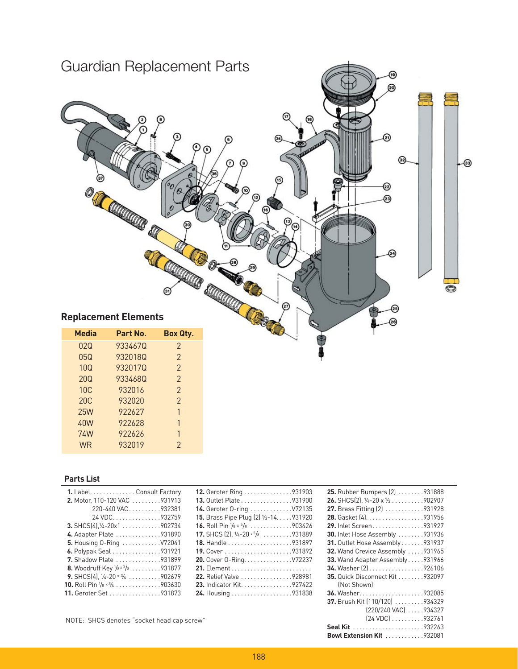

#### **Parts List**

| <b>12.</b> Geroter Ring 931903                                    |
|-------------------------------------------------------------------|
| 13. Outlet Plate 931900                                           |
| <b>14.</b> Geroter O-ring  V72135                                 |
| 15. Brass Pipe Plug (2) 1/2-14. 931920                            |
| 16. Roll Pin 1/8 x 5/8 903426                                     |
| <b>17.</b> SHCS (2), $\frac{1}{4}$ -20 $\times\frac{5}{8}$ 931889 |
|                                                                   |
|                                                                   |
|                                                                   |
| 21. Element                                                       |
| 22. Relief Valve 928981                                           |
| 23. Indicator Kit. 927422                                         |
|                                                                   |

| 25. Rubber Bumpers (2) 931888               |
|---------------------------------------------|
| 26. SHCS(2), 1/4-20 x 1/2 902907            |
| 27. Brass Fitting (2) 931928                |
| 28. Gasket (4). 931956                      |
| 29. Inlet Screen. 931927                    |
| <b>30.</b> Inlet Hose Assembly 931936       |
| <b>31.</b> Outlet Hose Assembly 931937      |
| 32. Wand Crevice Assembly 931965            |
| 33. Wand Adapter Assembly 931966            |
| 34. Washer (2) 926106                       |
| <b>35.</b> Quick Disconnect Kit 932097      |
| (Not Shown)                                 |
|                                             |
| 37. Brush Kit (110/120) 934329              |
| [220/240 VAC] 934327                        |
| $[24 \text{ VDC}] \dots \dots \dots 932761$ |
|                                             |
| <b>Bowl Extension Kit 932081</b>            |

NOTE: SHCS denotes "socket head cap screw"